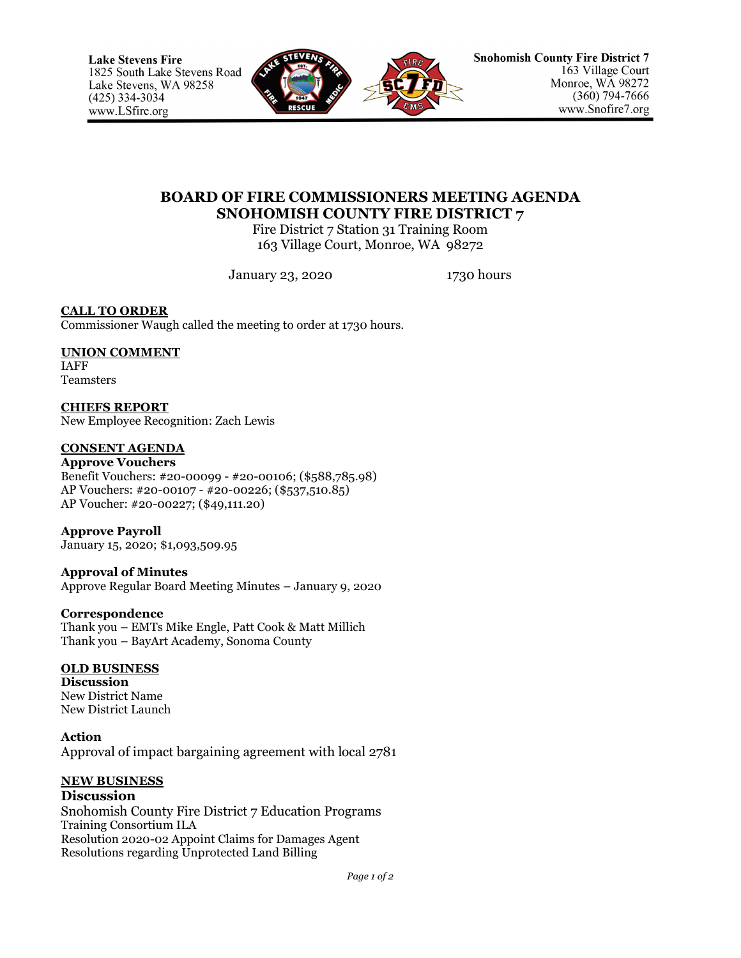

## **BOARD OF FIRE COMMISSIONERS MEETING AGENDA SNOHOMISH COUNTY FIRE DISTRICT 7**

Fire District 7 Station 31 Training Room 163 Village Court, Monroe, WA 98272

January 23, 2020 1730 hours

**CALL TO ORDER** Commissioner Waugh called the meeting to order at 1730 hours.

## **UNION COMMENT**

IAFF Teamsters

**CHIEFS REPORT** New Employee Recognition: Zach Lewis

#### **CONSENT AGENDA**

**Approve Vouchers** Benefit Vouchers: #20-00099 - #20-00106; (\$588,785.98) AP Vouchers: #20-00107 - #20-00226; (\$537,510.85) AP Voucher: #20-00227; (\$49,111.20)

**Approve Payroll** January 15, 2020; \$1,093,509.95

**Approval of Minutes** Approve Regular Board Meeting Minutes – January 9, 2020

**Correspondence** Thank you – EMTs Mike Engle, Patt Cook & Matt Millich Thank you – BayArt Academy, Sonoma County

#### **OLD BUSINESS**

**Discussion** New District Name New District Launch

**Action** Approval of impact bargaining agreement with local 2781

# **NEW BUSINESS**

**Discussion** Snohomish County Fire District 7 Education Programs Training Consortium ILA Resolution 2020-02 Appoint Claims for Damages Agent Resolutions regarding Unprotected Land Billing